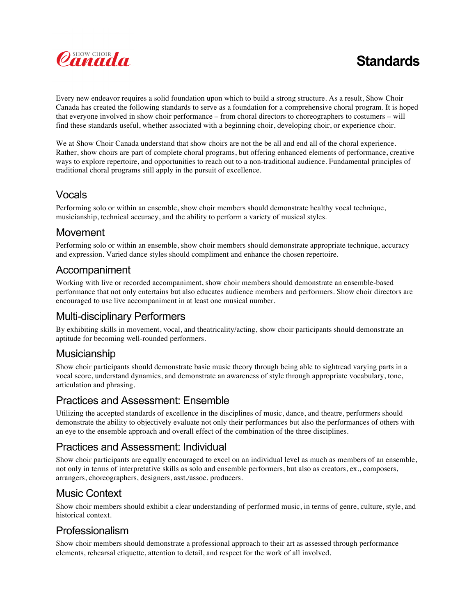

# **Standards**

Every new endeavor requires a solid foundation upon which to build a strong structure. As a result, Show Choir Canada has created the following standards to serve as a foundation for a comprehensive choral program. It is hoped that everyone involved in show choir performance – from choral directors to choreographers to costumers – will find these standards useful, whether associated with a beginning choir, developing choir, or experience choir.

We at Show Choir Canada understand that show choirs are not the be all and end all of the choral experience. Rather, show choirs are part of complete choral programs, but offering enhanced elements of performance, creative ways to explore repertoire, and opportunities to reach out to a non-traditional audience. Fundamental principles of traditional choral programs still apply in the pursuit of excellence.

## Vocals

Performing solo or within an ensemble, show choir members should demonstrate healthy vocal technique, musicianship, technical accuracy, and the ability to perform a variety of musical styles.

#### Movement

Performing solo or within an ensemble, show choir members should demonstrate appropriate technique, accuracy and expression. Varied dance styles should compliment and enhance the chosen repertoire.

#### Accompaniment

Working with live or recorded accompaniment, show choir members should demonstrate an ensemble-based performance that not only entertains but also educates audience members and performers. Show choir directors are encouraged to use live accompaniment in at least one musical number.

## Multi-disciplinary Performers

By exhibiting skills in movement, vocal, and theatricality/acting, show choir participants should demonstrate an aptitude for becoming well-rounded performers.

#### Musicianship

Show choir participants should demonstrate basic music theory through being able to sightread varying parts in a vocal score, understand dynamics, and demonstrate an awareness of style through appropriate vocabulary, tone, articulation and phrasing.

#### Practices and Assessment: Ensemble

Utilizing the accepted standards of excellence in the disciplines of music, dance, and theatre, performers should demonstrate the ability to objectively evaluate not only their performances but also the performances of others with an eye to the ensemble approach and overall effect of the combination of the three disciplines.

## Practices and Assessment: Individual

Show choir participants are equally encouraged to excel on an individual level as much as members of an ensemble, not only in terms of interpretative skills as solo and ensemble performers, but also as creators, ex., composers, arrangers, choreographers, designers, asst./assoc. producers.

## Music Context

Show choir members should exhibit a clear understanding of performed music, in terms of genre, culture, style, and historical context.

## Professionalism

Show choir members should demonstrate a professional approach to their art as assessed through performance elements, rehearsal etiquette, attention to detail, and respect for the work of all involved.